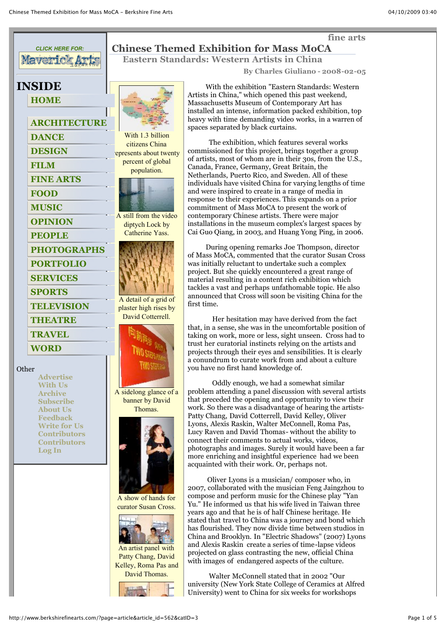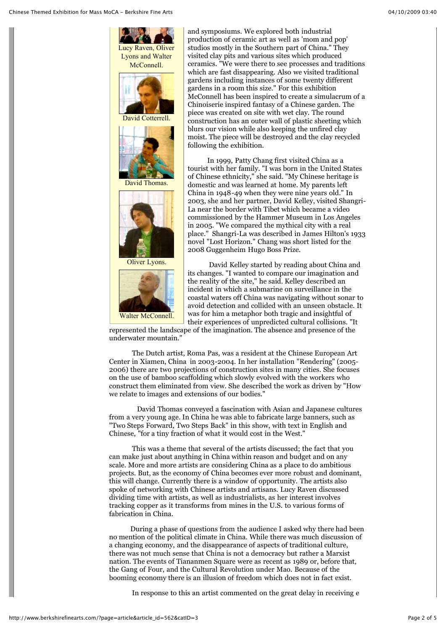

and symposiums. We explored both industrial production of ceramic art as well as 'mom and pop' studios mostly in the Southern part of China." They visited clay pits and various sites which produced ceramics. "We were there to see processes and traditions which are fast disappearing. Also we visited traditional gardens including instances of some twenty different gardens in a room this size." For this exhibition McConnell has been inspired to create a simulacrum of a Chinoiserie inspired fantasy of a Chinese garden. The piece was created on site with wet clay. The round construction has an outer wall of plastic sheeting which blurs our vision while also keeping the unfired clay moist. The piece will be destroyed and the clay recycled following the exhibition.

 In 1999, Patty Chang first visited China as a tourist with her family. "I was born in the United States of Chinese ethnicity," she said. "My Chinese heritage is domestic and was learned at home. My parents left China in 1948-49 when they were nine years old." In 2003, she and her partner, David Kelley, visited Shangri-La near the border with Tibet which became a video commissioned by the Hammer Museum in Los Angeles in 2005. "We compared the mythical city with a real place." Shangri-La was described in James Hilton's 1933 novel "Lost Horizon." Chang was short listed for the 2008 Guggenheim Hugo Boss Prize.

 David Kelley started by reading about China and its changes. "I wanted to compare our imagination and the reality of the site," he said. Kelley described an incident in which a submarine on surveillance in the coastal waters off China was navigating without sonar to avoid detection and collided with an unseen obstacle. It was for him a metaphor both tragic and insightful of their experiences of unpredicted cultural collisions. "It

represented the landscape of the imagination. The absence and presence of the underwater mountain."

 The Dutch artist, Roma Pas, was a resident at the Chinese European Art Center in Xiamen, China in 2003-2004. In her installation "Rendering" (2005- 2006) there are two projections of construction sites in many cities. She focuses on the use of bamboo scaffolding which slowly evolved with the workers who construct them eliminated from view. She described the work as driven by "How we relate to images and extensions of our bodies."

 David Thomas conveyed a fascination with Asian and Japanese cultures from a very young age. In China he was able to fabricate large banners, such as "Two Steps Forward, Two Steps Back" in this show, with text in English and Chinese, "for a tiny fraction of what it would cost in the West."

 This was a theme that several of the artists discussed; the fact that you can make just about anything in China within reason and budget and on any scale. More and more artists are considering China as a place to do ambitious projects. But, as the economy of China becomes ever more robust and dominant, this will change. Currently there is a window of opportunity. The artists also spoke of networking with Chinese artists and artisans. Lucy Raven discussed dividing time with artists, as well as industrialists, as her interest involves tracking copper as it transforms from mines in the U.S. to various forms of fabrication in China.

 During a phase of questions from the audience I asked why there had been no mention of the political climate in China. While there was much discussion of a changing economy, and the disappearance of aspects of traditional culture, there was not much sense that China is not a democracy but rather a Marxist nation. The events of Tiananmen Square were as recent as 1989 or, before that, the Gang of Four, and the Cultural Revolution under Mao. Because of the booming economy there is an illusion of freedom which does not in fact exist.

In response to this an artist commented on the great delay in receiving e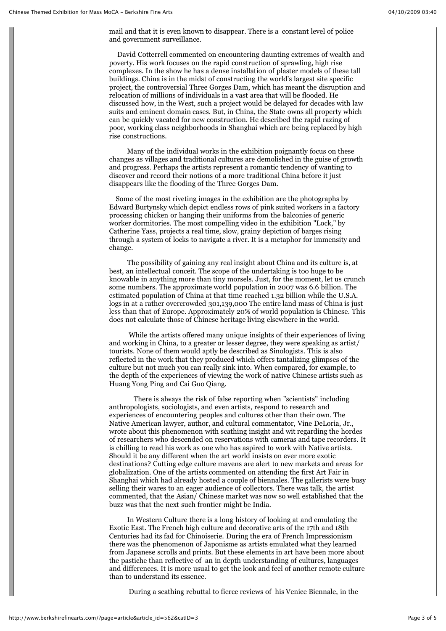mail and that it is even known to disappear. There is a constant level of police and government surveillance.

 David Cotterrell commented on encountering daunting extremes of wealth and poverty. His work focuses on the rapid construction of sprawling, high rise complexes. In the show he has a dense installation of plaster models of these tall buildings. China is in the midst of constructing the world's largest site specific project, the controversial Three Gorges Dam, which has meant the disruption and relocation of millions of individuals in a vast area that will be flooded. He discussed how, in the West, such a project would be delayed for decades with law suits and eminent domain cases. But, in China, the State owns all property which can be quickly vacated for new construction. He described the rapid razing of poor, working class neighborhoods in Shanghai which are being replaced by high rise constructions.

 Many of the individual works in the exhibition poignantly focus on these changes as villages and traditional cultures are demolished in the guise of growth and progress. Perhaps the artists represent a romantic tendency of wanting to discover and record their notions of a more traditional China before it just disappears like the flooding of the Three Gorges Dam.

 Some of the most riveting images in the exhibition are the photographs by Edward Burtynsky which depict endless rows of pink suited workers in a factory processing chicken or hanging their uniforms from the balconies of generic worker dormitories. The most compelling video in the exhibition "Lock," by Catherine Yass, projects a real time, slow, grainy depiction of barges rising through a system of locks to navigate a river. It is a metaphor for immensity and change.

 The possibility of gaining any real insight about China and its culture is, at best, an intellectual conceit. The scope of the undertaking is too huge to be knowable in anything more than tiny morsels. Just, for the moment, let us crunch some numbers. The approximate world population in 2007 was 6.6 billion. The estimated population of China at that time reached 1.32 billion while the U.S.A. logs in at a rather overcrowded 301,139,000 The entire land mass of China is just less than that of Europe. Approximately 20% of world population is Chinese. This does not calculate those of Chinese heritage living elsewhere in the world.

 While the artists offered many unique insights of their experiences of living and working in China, to a greater or lesser degree, they were speaking as artist/ tourists. None of them would aptly be described as Sinologists. This is also reflected in the work that they produced which offers tantalizing glimpses of the culture but not much you can really sink into. When compared, for example, to the depth of the experiences of viewing the work of native Chinese artists such as Huang Yong Ping and Cai Guo Qiang.

 There is always the risk of false reporting when "scientists" including anthropologists, sociologists, and even artists, respond to research and experiences of encountering peoples and cultures other than their own. The Native American lawyer, author, and cultural commentator, Vine DeLoria, Jr., wrote about this phenomenon with scathing insight and wit regarding the hordes of researchers who descended on reservations with cameras and tape recorders. It is chilling to read his work as one who has aspired to work with Native artists. Should it be any different when the art world insists on ever more exotic destinations? Cutting edge culture mavens are alert to new markets and areas for globalization. One of the artists commented on attending the first Art Fair in Shanghai which had already hosted a couple of biennales. The gallerists were busy selling their wares to an eager audience of collectors. There was talk, the artist commented, that the Asian/ Chinese market was now so well established that the buzz was that the next such frontier might be India.

 In Western Culture there is a long history of looking at and emulating the Exotic East. The French high culture and decorative arts of the 17th and 18th Centuries had its fad for Chinoiserie. During the era of French Impressionism there was the phenomenon of Japonisme as artists emulated what they learned from Japanese scrolls and prints. But these elements in art have been more about the pastiche than reflective of an in depth understanding of cultures, languages and differences. It is more usual to get the look and feel of another remote culture than to understand its essence.

During a scathing rebuttal to fierce reviews of his Venice Biennale, in the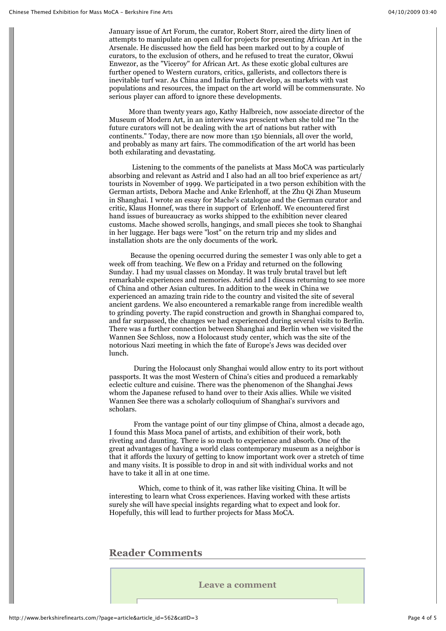January issue of Art Forum, the curator, Robert Storr, aired the dirty linen of attempts to manipulate an open call for projects for presenting African Art in the Arsenale. He discussed how the field has been marked out to by a couple of curators, to the exclusion of others, and he refused to treat the curator, Okwui Enwezor, as the "Viceroy" for African Art. As these exotic global cultures are further opened to Western curators, critics, gallerists, and collectors there is inevitable turf war. As China and India further develop, as markets with vast populations and resources, the impact on the art world will be commensurate. No serious player can afford to ignore these developments.

 More than twenty years ago, Kathy Halbreich, now associate director of the Museum of Modern Art, in an interview was prescient when she told me "In the future curators will not be dealing with the art of nations but rather with continents." Today, there are now more than 150 biennials, all over the world, and probably as many art fairs. The commodification of the art world has been both exhilarating and devastating.

 Listening to the comments of the panelists at Mass MoCA was particularly absorbing and relevant as Astrid and I also had an all too brief experience as art/ tourists in November of 1999. We participated in a two person exhibition with the German artists, Debora Mache and Anke Erlenhoff, at the Zhu Qi Zhan Museum in Shanghai. I wrote an essay for Mache's catalogue and the German curator and critic, Klaus Honnef, was there in support of Erlenhoff. We encountered first hand issues of bureaucracy as works shipped to the exhibition never cleared customs. Mache showed scrolls, hangings, and small pieces she took to Shanghai in her luggage. Her bags were "lost" on the return trip and my slides and installation shots are the only documents of the work.

 Because the opening occurred during the semester I was only able to get a week off from teaching. We flew on a Friday and returned on the following Sunday. I had my usual classes on Monday. It was truly brutal travel but left remarkable experiences and memories. Astrid and I discuss returning to see more of China and other Asian cultures. In addition to the week in China we experienced an amazing train ride to the country and visited the site of several ancient gardens. We also encountered a remarkable range from incredible wealth to grinding poverty. The rapid construction and growth in Shanghai compared to, and far surpassed, the changes we had experienced during several visits to Berlin. There was a further connection between Shanghai and Berlin when we visited the Wannen See Schloss, now a Holocaust study center, which was the site of the notorious Nazi meeting in which the fate of Europe's Jews was decided over lunch.

 During the Holocaust only Shanghai would allow entry to its port without passports. It was the most Western of China's cities and produced a remarkably eclectic culture and cuisine. There was the phenomenon of the Shanghai Jews whom the Japanese refused to hand over to their Axis allies. While we visited Wannen See there was a scholarly colloquium of Shanghai's survivors and scholars.

 From the vantage point of our tiny glimpse of China, almost a decade ago, I found this Mass Moca panel of artists, and exhibition of their work, both riveting and daunting. There is so much to experience and absorb. One of the great advantages of having a world class contemporary museum as a neighbor is that it affords the luxury of getting to know important work over a stretch of time and many visits. It is possible to drop in and sit with individual works and not have to take it all in at one time.

 Which, come to think of it, was rather like visiting China. It will be interesting to learn what Cross experiences. Having worked with these artists surely she will have special insights regarding what to expect and look for. Hopefully, this will lead to further projects for Mass MoCA.

## **Reader Comments**

**Leave a comment**